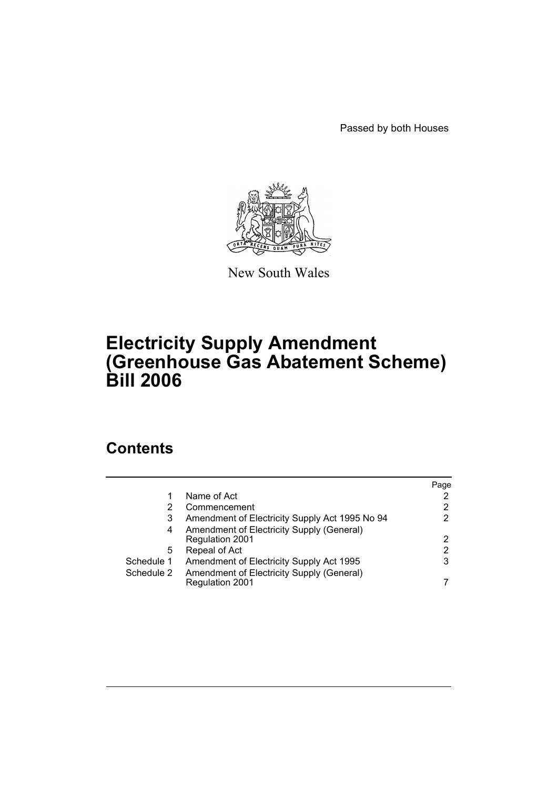Passed by both Houses



New South Wales

# **Electricity Supply Amendment (Greenhouse Gas Abatement Scheme) Bill 2006**

# **Contents**

|            |                                                | Page |
|------------|------------------------------------------------|------|
|            | Name of Act                                    |      |
|            | Commencement                                   | 2    |
| 3          | Amendment of Electricity Supply Act 1995 No 94 |      |
| 4          | Amendment of Electricity Supply (General)      |      |
|            | Regulation 2001                                | 2    |
| 5          | Repeal of Act                                  | 2    |
| Schedule 1 | Amendment of Electricity Supply Act 1995       | 3    |
| Schedule 2 | Amendment of Electricity Supply (General)      |      |
|            | <b>Regulation 2001</b>                         |      |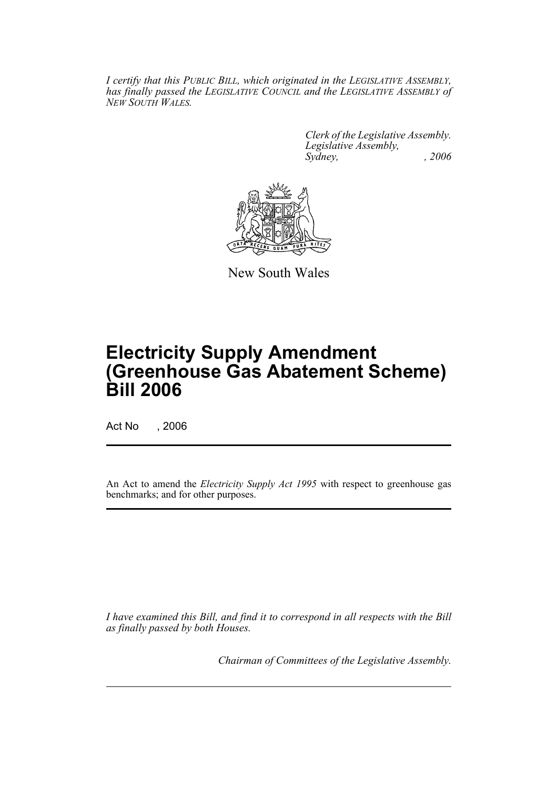*I certify that this PUBLIC BILL, which originated in the LEGISLATIVE ASSEMBLY, has finally passed the LEGISLATIVE COUNCIL and the LEGISLATIVE ASSEMBLY of NEW SOUTH WALES.*

> *Clerk of the Legislative Assembly. Legislative Assembly, Sydney, , 2006*



New South Wales

# **Electricity Supply Amendment (Greenhouse Gas Abatement Scheme) Bill 2006**

Act No , 2006

An Act to amend the *Electricity Supply Act 1995* with respect to greenhouse gas benchmarks; and for other purposes.

*I have examined this Bill, and find it to correspond in all respects with the Bill as finally passed by both Houses.*

*Chairman of Committees of the Legislative Assembly.*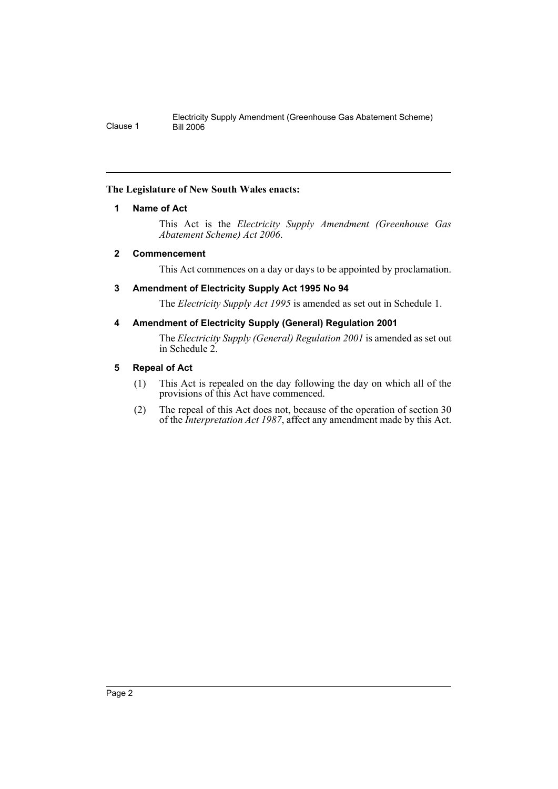# **The Legislature of New South Wales enacts:**

# **1 Name of Act**

This Act is the *Electricity Supply Amendment (Greenhouse Gas Abatement Scheme) Act 2006*.

# **2 Commencement**

This Act commences on a day or days to be appointed by proclamation.

# **3 Amendment of Electricity Supply Act 1995 No 94**

The *Electricity Supply Act 1995* is amended as set out in Schedule 1.

# **4 Amendment of Electricity Supply (General) Regulation 2001**

The *Electricity Supply (General) Regulation 2001* is amended as set out in Schedule 2.

# **5 Repeal of Act**

- (1) This Act is repealed on the day following the day on which all of the provisions of this Act have commenced.
- (2) The repeal of this Act does not, because of the operation of section 30 of the *Interpretation Act 1987*, affect any amendment made by this Act.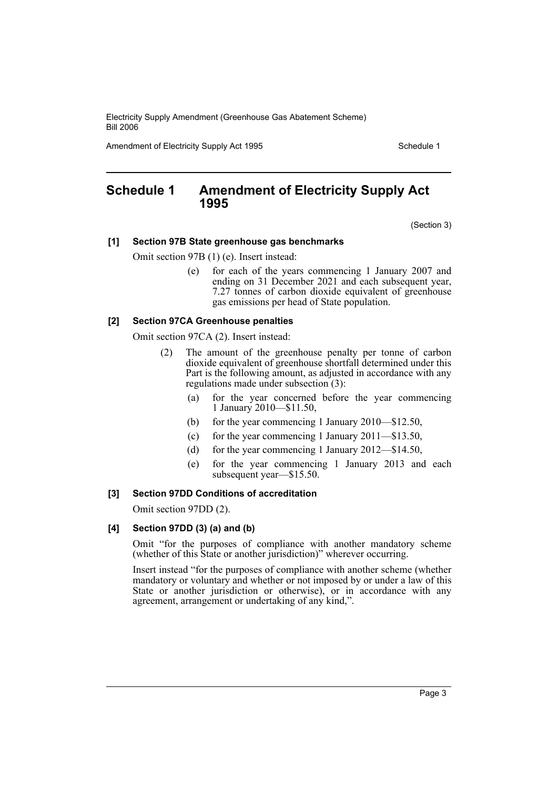Amendment of Electricity Supply Act 1995 Schedule 1

# **Schedule 1 Amendment of Electricity Supply Act 1995**

(Section 3)

#### **[1] Section 97B State greenhouse gas benchmarks**

Omit section 97B (1) (e). Insert instead:

(e) for each of the years commencing 1 January 2007 and ending on 31 December 2021 and each subsequent year, 7.27 tonnes of carbon dioxide equivalent of greenhouse gas emissions per head of State population.

#### **[2] Section 97CA Greenhouse penalties**

Omit section 97CA (2). Insert instead:

- (2) The amount of the greenhouse penalty per tonne of carbon dioxide equivalent of greenhouse shortfall determined under this Part is the following amount, as adjusted in accordance with any regulations made under subsection (3):
	- (a) for the year concerned before the year commencing 1 January 2010—\$11.50,
	- (b) for the year commencing 1 January 2010—\$12.50,
	- (c) for the year commencing 1 January 2011—\$13.50,
	- (d) for the year commencing 1 January 2012—\$14.50,
	- (e) for the year commencing 1 January 2013 and each subsequent year—\$15.50.

# **[3] Section 97DD Conditions of accreditation**

Omit section 97DD (2).

#### **[4] Section 97DD (3) (a) and (b)**

Omit "for the purposes of compliance with another mandatory scheme (whether of this State or another jurisdiction)" wherever occurring.

Insert instead "for the purposes of compliance with another scheme (whether mandatory or voluntary and whether or not imposed by or under a law of this State or another jurisdiction or otherwise), or in accordance with any agreement, arrangement or undertaking of any kind,".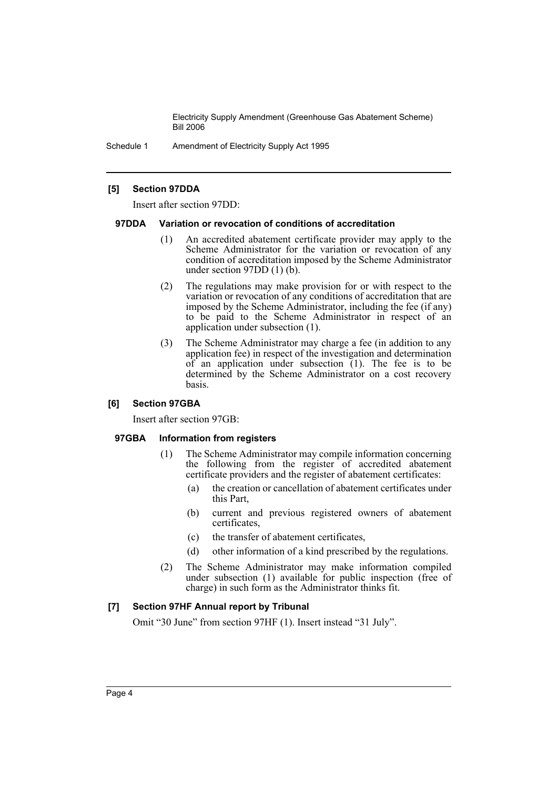Schedule 1 Amendment of Electricity Supply Act 1995

## **[5] Section 97DDA**

Insert after section 97DD:

#### **97DDA Variation or revocation of conditions of accreditation**

- (1) An accredited abatement certificate provider may apply to the Scheme Administrator for the variation or revocation of any condition of accreditation imposed by the Scheme Administrator under section 97DD (1) (b).
- (2) The regulations may make provision for or with respect to the variation or revocation of any conditions of accreditation that are imposed by the Scheme Administrator, including the fee (if any) to be paid to the Scheme Administrator in respect of an application under subsection (1).
- (3) The Scheme Administrator may charge a fee (in addition to any application fee) in respect of the investigation and determination  $of$  an application under subsection  $(1)$ . The fee is to be determined by the Scheme Administrator on a cost recovery basis.

#### **[6] Section 97GBA**

Insert after section 97GB:

#### **97GBA Information from registers**

- (1) The Scheme Administrator may compile information concerning the following from the register of accredited abatement certificate providers and the register of abatement certificates:
	- (a) the creation or cancellation of abatement certificates under this Part,
	- (b) current and previous registered owners of abatement certificates,
	- (c) the transfer of abatement certificates,
	- (d) other information of a kind prescribed by the regulations.
- (2) The Scheme Administrator may make information compiled under subsection (1) available for public inspection (free of charge) in such form as the Administrator thinks fit.

## **[7] Section 97HF Annual report by Tribunal**

Omit "30 June" from section 97HF (1). Insert instead "31 July".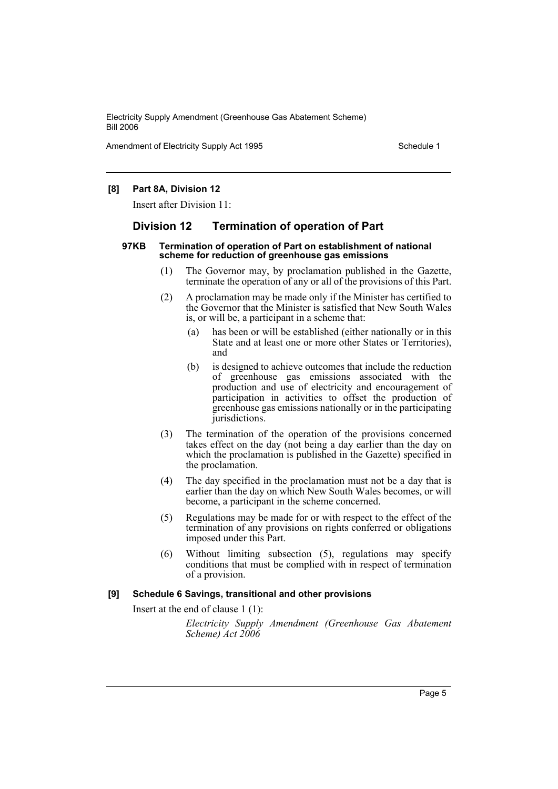Amendment of Electricity Supply Act 1995 Schedule 1

## **[8] Part 8A, Division 12**

Insert after Division 11:

## **Division 12 Termination of operation of Part**

#### **97KB Termination of operation of Part on establishment of national scheme for reduction of greenhouse gas emissions**

- (1) The Governor may, by proclamation published in the Gazette, terminate the operation of any or all of the provisions of this Part.
- (2) A proclamation may be made only if the Minister has certified to the Governor that the Minister is satisfied that New South Wales is, or will be, a participant in a scheme that:
	- (a) has been or will be established (either nationally or in this State and at least one or more other States or Territories), and
	- (b) is designed to achieve outcomes that include the reduction of greenhouse gas emissions associated with the production and use of electricity and encouragement of participation in activities to offset the production of greenhouse gas emissions nationally or in the participating jurisdictions.
- (3) The termination of the operation of the provisions concerned takes effect on the day (not being a day earlier than the day on which the proclamation is published in the Gazette) specified in the proclamation.
- (4) The day specified in the proclamation must not be a day that is earlier than the day on which New South Wales becomes, or will become, a participant in the scheme concerned.
- (5) Regulations may be made for or with respect to the effect of the termination of any provisions on rights conferred or obligations imposed under this Part.
- (6) Without limiting subsection (5), regulations may specify conditions that must be complied with in respect of termination of a provision.

#### **[9] Schedule 6 Savings, transitional and other provisions**

Insert at the end of clause 1 (1):

*Electricity Supply Amendment (Greenhouse Gas Abatement Scheme) Act 2006*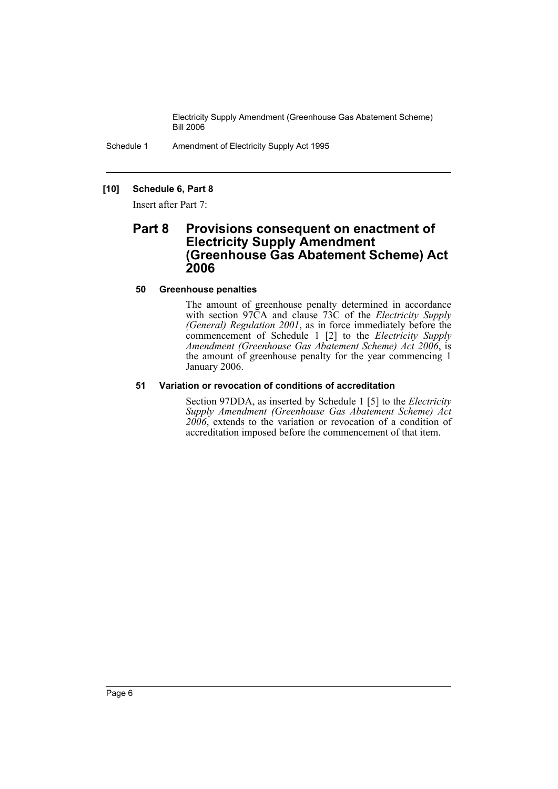Schedule 1 Amendment of Electricity Supply Act 1995

# **[10] Schedule 6, Part 8**

Insert after Part 7:

# **Part 8 Provisions consequent on enactment of Electricity Supply Amendment (Greenhouse Gas Abatement Scheme) Act 2006**

## **50 Greenhouse penalties**

The amount of greenhouse penalty determined in accordance with section 97CA and clause 73C of the *Electricity Supply (General) Regulation 2001*, as in force immediately before the commencement of Schedule 1 [2] to the *Electricity Supply Amendment (Greenhouse Gas Abatement Scheme) Act 2006*, is the amount of greenhouse penalty for the year commencing 1 January 2006.

# **51 Variation or revocation of conditions of accreditation**

Section 97DDA, as inserted by Schedule 1 [5] to the *Electricity Supply Amendment (Greenhouse Gas Abatement Scheme) Act 2006*, extends to the variation or revocation of a condition of accreditation imposed before the commencement of that item.